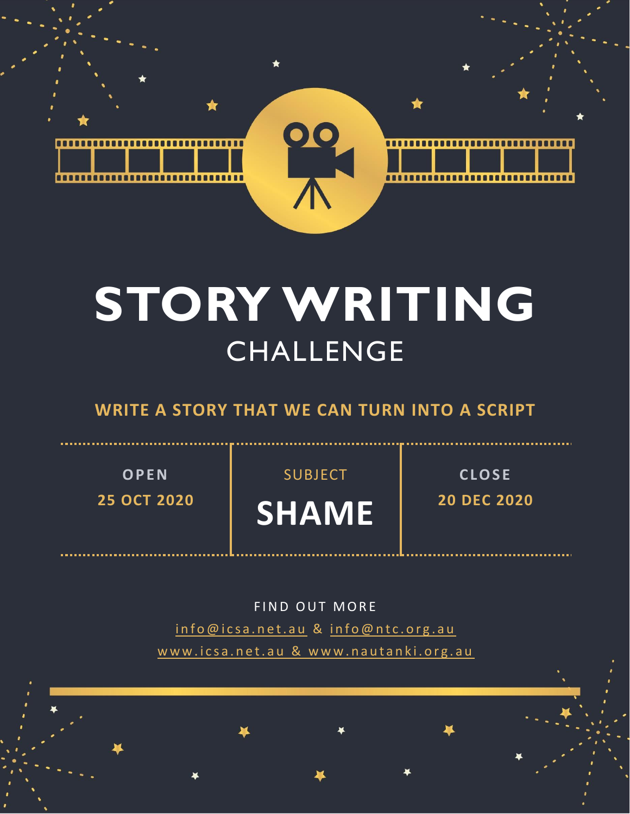

# **STORY WRITING** CHALLENGE

### **WRITE A STORY THAT WE CAN TURN INTO A SCRIPT**

**O P E N 25 OCT 2020** SUBJECT

**SHAME**

**C L O S E 20 DEC 2020**

FIND OUT MORE info@icsa.net.au & info@ntc.org.au www.icsa.net.au & www.nautanki.org.au